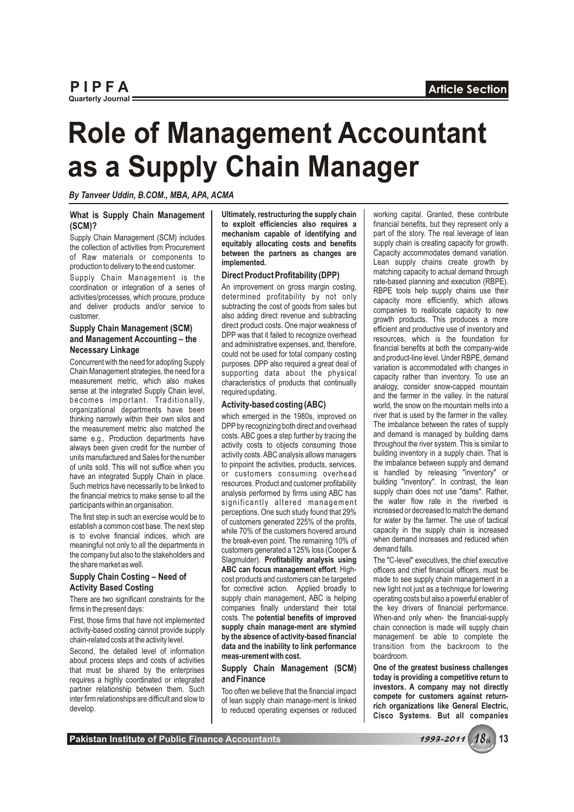# **Role of Management Accountant as a Supply Chain Manager**

*By Tanveer Uddin, B.COM., MBA, APA, ACMA*

## **What is Supply Chain Management** | Ultimately, restructuring the supply chain | working capital. Granted, these contribute **(SCM)? contribute is the supply chain contribute is the supply chain is the supply cont**

organizational departments have been<br>thinking narrowly within their own silos and<br>the measurement metric also matched the<br>DPP by recognizing both direct and overhead<br>The imbalance between the rates of supply<br>The imbalance same e.g., Production departments have costs. ABC goes a step further by tracing the and demand is managed by building dams<br>always been given credit for the number of activity costs to objects consuming those throughout th activity costs to objects consuming those<br>units manufactured and Sales for the number activity costs. ABC analysis allows managers activity costs. ABC analysis allows managers building inventory in a supply chain. That is<br>of units manufactured and Sales for the number<br>bout in the solution of supply chain in the set of principle when you<br>have an integr have an integrated Supply Chain in place. The customers consuming overhead<br>Such metrics have necessarily to be linked to<br>the financial metrics to make sense to all the analysis performed by firms using ABC has<br>the financia

Second, the detailed level of information **and the inability to link performance** it ansition from the backroom to the Second, the shared by the enterprises **Supply Chain Management (SCM)** One of the greatest business chal **Supply Chain Management (SCM) One of the greatest business challenges** requires a highly coordinated or integrated **and Finance and Finance computed and Finance a** highly coordinated or integrated **and Finance today is providing a competitive return to** requires a highly coordinated or integrated **and Finance**

**to exploit efficiencies also requires a** inancial benefits, but they represent only a<br>**Eugenia Computer of the State of identifying and** and part of the story. The real leverage of lean

DPP by recognizing both direct and overhead The imbalance between the rates of supply costs. ABC goes a step further by tracing the and demand is managed by building dams analysis performed by firms using ABC has supply chain does not use "dams". Rather, the financial metric is to management the vater flow rate in the riverbed is significantly altered management the water flow rate in the riverbed is<br>participants within an organisation. perceptions. One such study found that 29% increased or decreased to match the demand Finally and that a common cost base. The next step<br>
is to evolve financial indices, which are<br>
is to evolve financial indices, which are<br>
the break-even point. The remaining 10% of<br>
the company but also to the stakeholders The share market as well.<br> **Supply Chain Costing – Need of Cost products and customers can be targeted** made to see supply chain management in a<br> **Activity Based Costing – Need of corrective** action Applied broadly to for corrective action. Applied broadly to new light not just as a technique for lowering<br>
supply chain management. ABC is helping operating costs but also a powerful enabler of There are two significant constraints for the supply chain management, ABC is helping operating costs but also a powerful enabler of firms in the present days:<br>
companies finally understand their total the key drivers of f companies finally understand their total costs. The potential benefits of improved First, those firms that have not implemented costs. The **potential benefits of improved** When-and only when- the financial-supply **set of index** activity-hased costing cannot provide supply **supply chain manage-ment are st** activity-based costing cannot provide supply **supply chain manage-ment are stymied** chain connection is made will supply chain chain-related costs at the activity level. **by the absence of activity-based financial** management be able to complete the data and the inability to link performance transition from the backroom to the

Supply Chain Management (SCM) includes<br>
the collection of activities from Procurement<br>
of Raw materials or components to<br>
production to delivery to the end customer.<br>
Supply Chain Management is the<br>
supply Chain Management Customer.<br>
Supply Chain Management (SCM)<br>
and Management Accounting – the<br>
Management Accounting – the<br>
Management Accounting – the<br>
Management Accounting – the<br>
Management Accounting – the<br>
and administrative expenses, an

partner relationship between them. Such<br>interfirm relationships are difficult and slow to<br>develop. the reduced operating expenses or reduced<br>develop.<br>Cisco Systems. But all companies

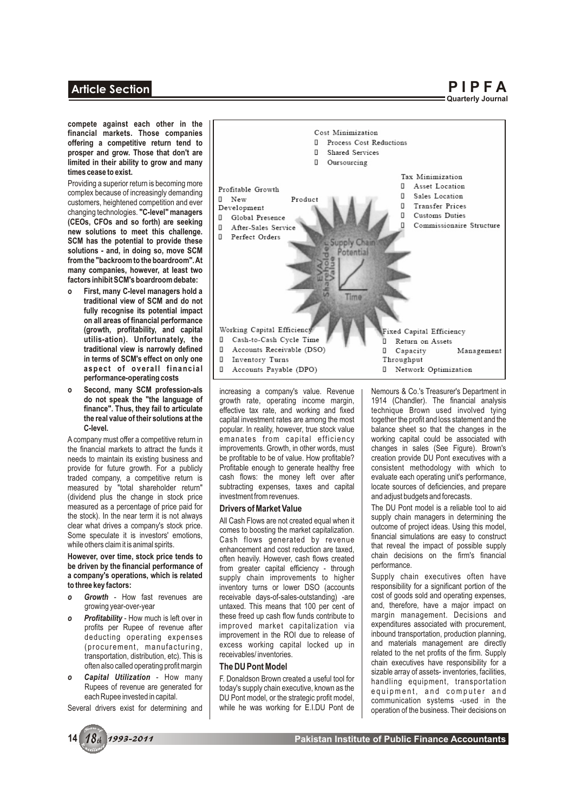## **Article Section**

**P I P F A Quarterly Journal**

**compete against each other in the financial markets. Those companies offering a competitive return tend to prosper and grow. Those that don't are limited in their ability to grow and many times cease to exist.**

Providing a superior return is becoming more complex because of increasingly demanding customers, heightened competition and ever changing technologies. **"C-level" managers (CEOs, CFOs and so forth) are seeking new solutions to meet this challenge. SCM has the potential to provide these solutions - and, in doing so, move SCM from the "backroom to the boardroom". At many companies, however, at least two factors inhibit SCM's boardroom debate:**

- **o First, many C-level managers hold a traditional view of SCM and do not fully recognise its potential impact on all areas of financial performance (growth, profitability, and capital utilis-ation). Unfortunately, the traditional view is narrowly defined in terms of SCM's effect on only one**  a spect of overall financial **performance-operating costs**
- **o** Second, many SCM profession-als increasing a company's value. Revenue | Nemours & Co.'s Treasurer's Department in do not speak the "the language of | growth rate. operating income margin. | 1914 (Chandler). The financi

(dividend plus the change in stock price measured as a percentage of price paid for measured as a percentage of price paid for **Drivers of Market Value** The DU Pont model is a reliable tool to aid<br>the stock). In the near term it is not always and cook Flowe are not created equal when it

- 
- 
- 



**do not speak the "the language of** a growth rate, operating income margin, 1914 (Chandler). The financial analysis **finance". Thus, they fail to articulate** effective tax rate, and working and fixed technique Brown used i **finance". Thus, they fail to articulate**  $\begin{array}{c}$  effective tax rate, and working and fixed technique Brown used involved tying the real value of their solutions at the capital investment rates are among the most **the real value of their solutions at the** capital investment rates are among the most together the profit and loss statement and the propular. In reality, however, true stock value balance sheet so that the changes in the popular. In reality, however, true stock value balance sheet so that the changes in the emanates from capital efficiency working capital could be associated with A company must offer a competitive return in emanates from capital efficiency working capital could be associated with the financial markets to attract the funds it improvements. Growth, in other words, must changes in sal improvements. Growth, in other words, must changes in sales (See Figure). Brown's be profitable to be of value. How profitable? creation provide DU Pont executives with a needs to maintain its existing business and be profitable to be of value. How profitable? creation provide DU Pont executives with a provide for future growth. For a publicly Profitable enough to generate healthy free cons provide for future growth. For a publicly Profitable enough to generate healthy free consistent methodology with which to traded company, a competitive return is cash flows: the money left over after evaluate each operatin traded company, a competitive return is cash flows: the money left over after evaluate each operating unit's performance,<br>measured by "total shareholder return" subtracting expenses, taxes and capital locate sources of def measured by "total shareholder return" subtracting expenses, taxes and capital | locate sources of deficiencies, and prepare in stock price | investment from revenues.

**However, over time, stock price tends to** enhancement and cost reduction are taxed,<br> **However, over time, stock price tends to** often heavily. However, cash flows created chain decisions on the firm's financial between th **be driven by the financial performance of**  $\parallel$  from greater capital efficiency - through  $\parallel$  performance.<br>**a company's operations, which is related** supply chain improvements to bigher Supply chain executives often have **a company's operations, which is related** supply chain improvements to higher Supply chain executives often have to three key factors: inventory turns or lower DSO (accounts responsibility for a significant portion of the receivable days-of-sales-outstanding) -are cost of goods sold and operating expenses, **o Growth** - How fast revenues are receivable days-of-sales-outstanding) -are cost of goods sold and operating expenses, quitarially untaxed. This means that 100 per cent of and, therefore, have a major impact on untaxed. This means that 100 per cent of and, therefore, have a major impact on these freed up cash flow funds contribute to margin management. Decisions and **o** *Profitability* - How much is left over in these freed up cash flow funds contribute to margin management. Decisions and profits per Rupee of revenue after improved market capitalization via expenditures associated w improved market capitalization via expenditures associated with procurement, improvement in the ROI due to release of  $\parallel$  inbound transportation, production planning, deducting operating expenses improvement in the ROI due to release of inbound transportation, production planning,<br>(procurement manufacturing excess working capital locked up in and materials management are directly

the stock). In the near term it is not always<br>
clear what drives a company's stock price.<br>
Some speculate it is investors' emotions,<br>
while others claim it is animal spirits.<br>
while others claim it is animal spirits.<br>
The

Chrocurement, manufacturing,<br>
transportation, distribution, etc). This is<br>
often also called operating profit margin<br> **Capital Utilization** - How many<br>
Rupees of revenue are generated for<br>
each Rupee invested in capital.<br> each Rupee invested in capital. DU Pont model, or the strategic profit model, cannunication systems -used in the<br>Several drivers exist for determining and while he was working for E.I.DU Pont de operation of the business.